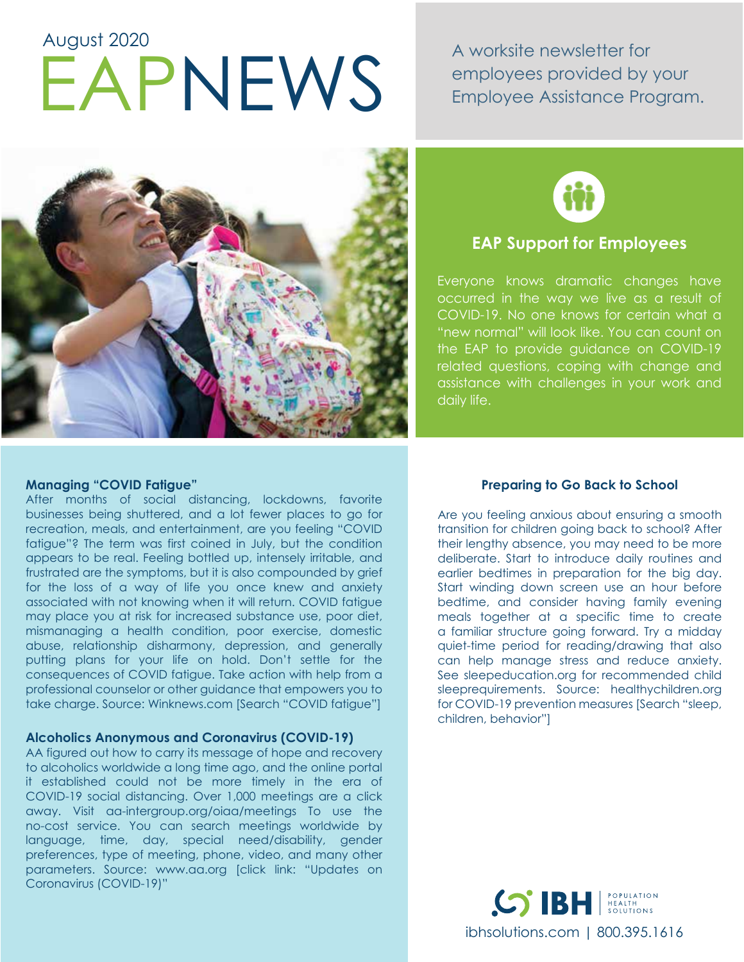# EAPNEWS A worksite newsletter for August 2020

employees provided by your Employee Assistance Program.





### **EAP Support for Employees**

Everyone knows dramatic changes have occurred in the way we live as a result of COVID-19. No one knows for certain what a "new normal" will look like. You can count on the EAP to provide guidance on COVID-19 related questions, coping with change and assistance with challenges in your work and daily life.

#### **Managing "COVID Fatigue"**

After months of social distancing, lockdowns, favorite businesses being shuttered, and a lot fewer places to go for recreation, meals, and entertainment, are you feeling "COVID fatigue"? The term was first coined in July, but the condition appears to be real. Feeling bottled up, intensely irritable, and frustrated are the symptoms, but it is also compounded by grief for the loss of a way of life you once knew and anxiety associated with not knowing when it will return. COVID fatigue may place you at risk for increased substance use, poor diet, mismanaging a health condition, poor exercise, domestic abuse, relationship disharmony, depression, and generally putting plans for your life on hold. Don't settle for the consequences of COVID fatigue. Take action with help from a professional counselor or other guidance that empowers you to take charge. Source: Winknews.com [Search "COVID fatigue"]

#### **Alcoholics Anonymous and Coronavirus (COVID-19)**

AA figured out how to carry its message of hope and recovery to alcoholics worldwide a long time ago, and the online portal it established could not be more timely in the era of COVID-19 social distancing. Over 1,000 meetings are a click away. Visit aa-intergroup.org/oiaa/meetings To use the no-cost service. You can search meetings worldwide by language, time, day, special need/disability, gender preferences, type of meeting, phone, video, and many other parameters. Source: www.aa.org [click link: "Updates on Coronavirus (COVID-19)"

#### **Preparing to Go Back to School**

Are you feeling anxious about ensuring a smooth transition for children going back to school? After their lengthy absence, you may need to be more deliberate. Start to introduce daily routines and earlier bedtimes in preparation for the big day. Start winding down screen use an hour before bedtime, and consider having family evening meals together at a specific time to create a familiar structure going forward. Try a midday quiet-time period for reading/drawing that also can help manage stress and reduce anxiety. See sleepeducation.org for recommended child sleeprequirements. Source: healthychildren.org for COVID-19 prevention measures [Search "sleep, children, behavior"]